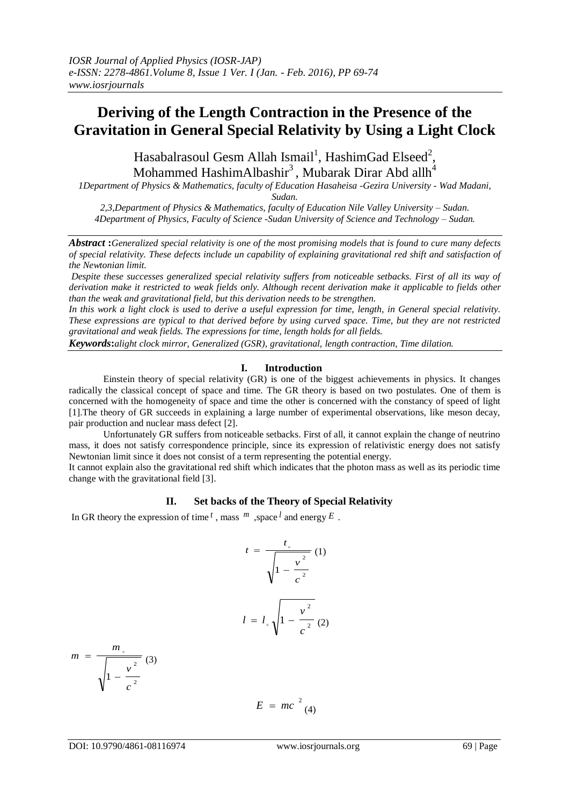# **Deriving of the Length Contraction in the Presence of the Gravitation in General Special Relativity by Using a Light Clock**

Hasabalrasoul Gesm Allah Ismail<sup>1</sup>, HashimGad Elseed<sup>2</sup>, Mohammed HashimAlbashir $^3$ , Mubarak Dirar Abd allh $^4$ 

*1Department of Physics & Mathematics, faculty of Education Hasaheisa -Gezira University - Wad Madani,* 

*Sudan.*

*2,3,Department of Physics & Mathematics, faculty of Education Nile Valley University – Sudan. 4Department of Physics, Faculty of Science -Sudan University of Science and Technology – Sudan.*

*Abstract* **:***Generalized special relativity is one of the most promising models that is found to cure many defects of special relativity. These defects include un capability of explaining gravitational red shift and satisfaction of the Newtonian limit.*

*Despite these successes generalized special relativity suffers from noticeable setbacks. First of all its way of derivation make it restricted to weak fields only. Although recent derivation make it applicable to fields other than the weak and gravitational field, but this derivation needs to be strengthen.*

*In this work a light clock is used to derive a useful expression for time, length, in General special relativity. These expressions are typical to that derived before by using curved space. Time, but they are not restricted gravitational and weak fields. The expressions for time, length holds for all fields.*

*Keywords***:***alight clock mirror, Generalized (GSR), gravitational, length contraction, Time dilation.*

#### **I. Introduction**

Einstein theory of special relativity (GR) is one of the biggest achievements in physics. It changes radically the classical concept of space and time. The GR theory is based on two postulates. One of them is concerned with the homogeneity of space and time the other is concerned with the constancy of speed of light [1].The theory of GR succeeds in explaining a large number of experimental observations, like meson decay, pair production and nuclear mass defect [2].

Unfortunately GR suffers from noticeable setbacks. First of all, it cannot explain the change of neutrino mass, it does not satisfy correspondence principle, since its expression of relativistic energy does not satisfy Newtonian limit since it does not consist of a term representing the potential energy.

It cannot explain also the gravitational red shift which indicates that the photon mass as well as its periodic time change with the gravitational field [3].

## **II. Set backs of the Theory of Special Relativity**

In GR theory the expression of time  $^t$ , mass  $^m$ , space  $^l$  and energy  $^L$ .

$$
t = \frac{t_{\circ}}{\sqrt{1 - \frac{v^2}{c^2}}}
$$
 (1)  

$$
l = l_{\circ} \sqrt{1 - \frac{v^2}{c^2}}
$$
 (2)

$$
m = \frac{m_{0}}{\sqrt{1 - \frac{v^{2}}{c^{2}}}}
$$
 (3)  

$$
E = mc^{2}
$$
 (4)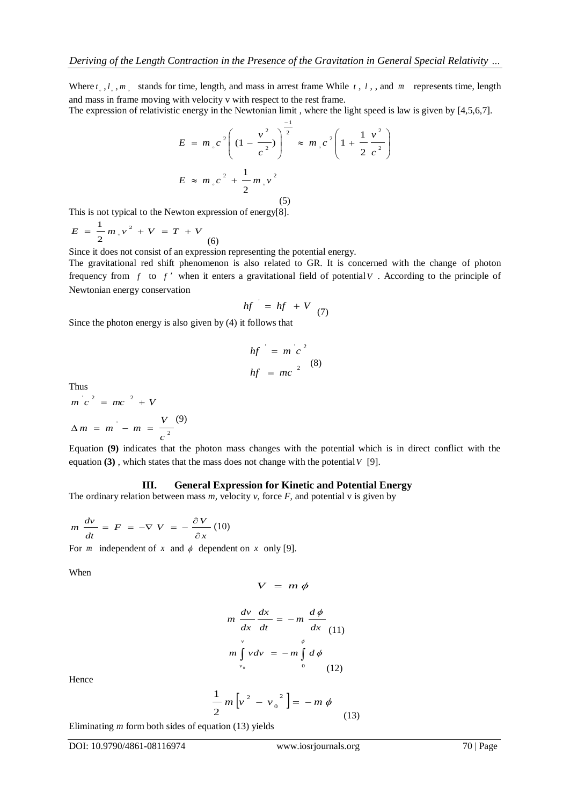Where  $t_1, l_2, m_3$  stands for time, length, and mass in arrest frame While  $t_1, l_2, m_3$ , and  $m$  represents time, length and mass in frame moving with velocity v with respect to the rest frame.

The expression of relativistic energy in the Newtonian limit , where the light speed is law is given by [4,5,6,7].

$$
E = m_{\circ} c^{2} \left( \left( 1 - \frac{v^{2}}{c^{2}} \right) \right)^{\frac{-1}{2}} \approx m_{\circ} c^{2} \left( 1 + \frac{1}{2} \frac{v^{2}}{c^{2}} \right)
$$
  

$$
E \approx m_{\circ} c^{2} + \frac{1}{2} m_{\circ} v^{2}
$$
  
(5)

This is not typical to the Newton expression of energy[8].

 $E = \frac{1}{2} m v^2 + V = T + V$ 2 1  $\circ$ (6)

Since it does not consist of an expression representing the potential energy.

The gravitational red shift phenomenon is also related to GR. It is concerned with the change of photon frequency from  $f$  to  $f'$  when it enters a gravitational field of potential  $V$ . According to the principle of Newtonian energy conservation

$$
hf = hf + V \quad (7)
$$

Since the photon energy is also given by (4) it follows that

$$
hf = m'c^2
$$
  

$$
hf = mc^{2}
$$
 (8)

Thus

2  $\frac{1}{c} - m = \frac{1}{c}$  $m^{2} c^{2} = mc^{2} + V$  $\Delta m = m - m = \frac{V}{m}$ (9)

Equation **(9)** indicates that the photon mass changes with the potential which is in direct conflict with the equation **(3)** , which states that the mass does not change with the potential *V* [9].

#### **III. General Expression for Kinetic and Potential Energy**

The ordinary relation between mass  $m$ , velocity  $v$ , force  $F$ , and potential  $v$  is given by

$$
m\,\frac{dv}{dt} = F = -\nabla\ V = -\frac{\partial\,V}{\partial\,x}\,(10)
$$

For *m* independent of *x* and  $\phi$  dependent on *x* only [9].

When

$$
V = m \phi
$$

$$
m \frac{dv}{dx} \frac{dx}{dt} = -m \frac{d\phi}{dx}
$$
  

$$
m \int_{v_0}^{v} v dv = -m \int_{0}^{\phi} d\phi
$$
  
(12)

Hence

$$
\frac{1}{2}m[v^2 - v_0^2] = -m \phi
$$
\n(13)

Eliminating *m* form both sides of equation (13) yields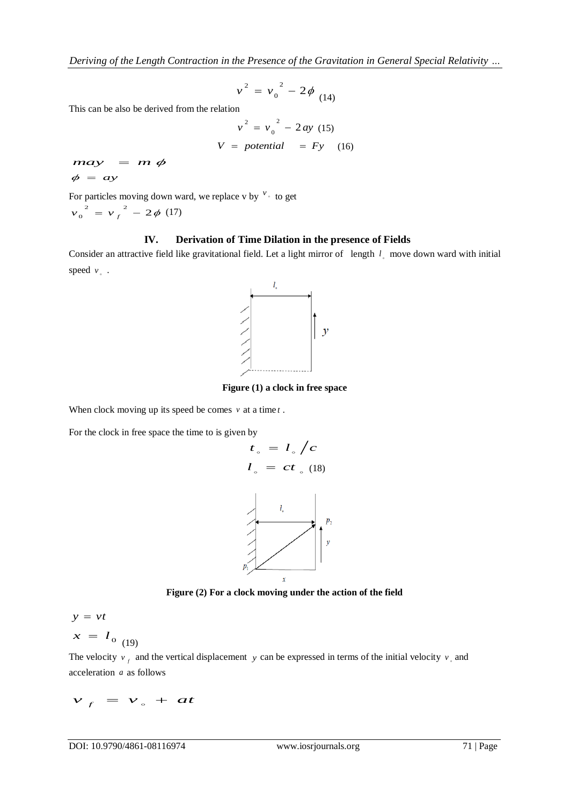*Deriving of the Length Contraction in the Presence of the Gravitation in General Special Relativity …*

$$
v^2 = v_0^2 - 2\phi_{(14)}
$$

This can be also be derived from the relation

$$
v2 = v02 - 2ay (15)
$$

$$
V = potential = Fy (16)
$$

 $may = m \phi$  $\phi = ay$ 

For particles moving down ward, we replace v by  $\frac{v}{x}$  to get

$$
v_0^2 = v_f^2 - 2\phi \ (17)
$$

## **IV. Derivation of Time Dilation in the presence of Fields**

Consider an attractive field like gravitational field. Let a light mirror of length  $l_{\circ}$  move down ward with initial speed  $v<sub>o</sub>$ .



**Figure (1) a clock in free space**

When clock moving up its speed be comes  $\nu$  at a time  $t$ .

For the clock in free space the time to is given by



**Figure (2) For a clock moving under the action of the field**

$$
y = vt
$$

$$
x = l_{0 (19)}
$$

The velocity  $v_f$  and the vertical displacement y can be expressed in terms of the initial velocity  $v_s$  and acceleration *a* as follows

$$
v_f = v_s + at
$$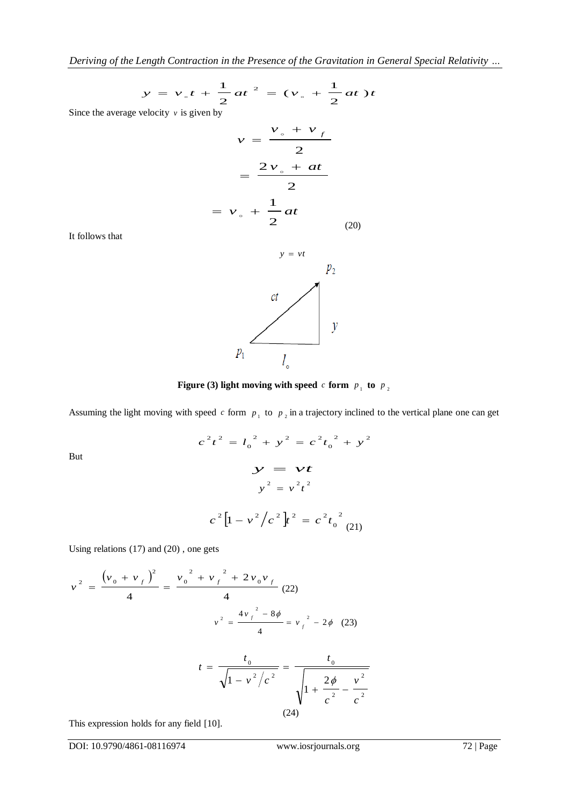$$
y = v_{0}t + \frac{1}{2}at^{2} = (v_{0} + \frac{1}{2}at)t
$$

Since the average velocity  $\nu$  is given by

$$
v = \frac{v_{\circ} + v_{f}}{2}
$$

$$
= \frac{2v_{\circ} + at}{2}
$$

$$
= v_{\circ} + \frac{1}{2}at
$$
(20)

It follows that

But



**Figure** (3) light moving with speed  $c$  form  $p_1$  to  $p_2$ 

Assuming the light moving with speed  $c$  form  $p_1$  to  $p_2$  in a trajectory inclined to the vertical plane one can get

$$
c^{2}t^{2} = l_{0}^{2} + y^{2} = c^{2}t_{0}^{2} + y^{2}
$$

$$
y = vt
$$

$$
y^{2} = v^{2}t^{2}
$$

$$
c^{2}[1 - v^{2}/c^{2}]t^{2} = c^{2}t_{0}^{2}(21)
$$

Using relations (17) and (20) , one gets

$$
v^{2} = \frac{(v_{0} + v_{f})^{2}}{4} = \frac{v_{0}^{2} + v_{f}^{2} + 2v_{0}v_{f}}{4}
$$
 (22)  

$$
v^{2} = \frac{4v_{f}^{2} - 8\phi}{4} = v_{f}^{2} - 2\phi
$$
 (23)

$$
t = \frac{t_0}{\sqrt{1 - v^2/c^2}} = \frac{t_0}{\sqrt{1 + \frac{2\phi}{c^2} - \frac{v^2}{c^2}}}
$$
\n(24)

This expression holds for any field [10].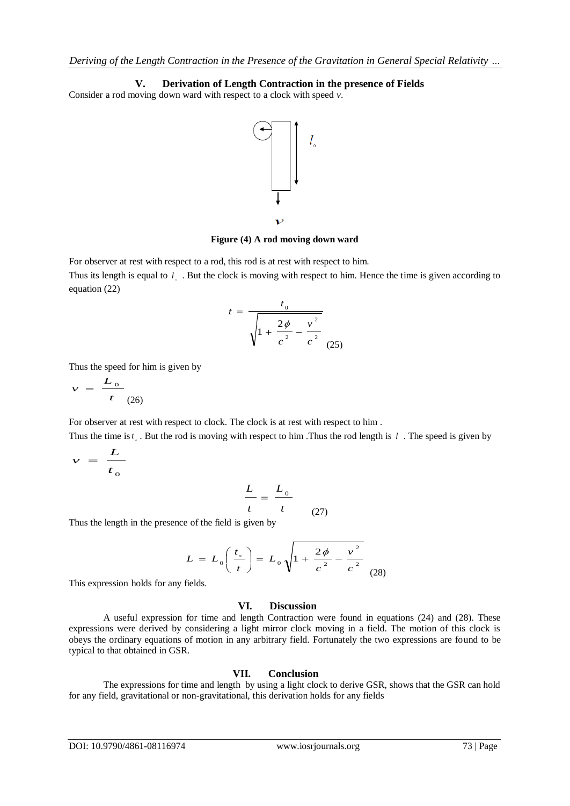**V. Derivation of Length Contraction in the presence of Fields** Consider a rod moving down ward with respect to a clock with speed *v*.



**Figure (4) A rod moving down ward**

For observer at rest with respect to a rod, this rod is at rest with respect to him. Thus its length is equal to  $l_{\circ}$ . But the clock is moving with respect to him. Hence the time is given according to equation (22)

$$
t = \frac{t_0}{\sqrt{1 + \frac{2\phi}{c^2} - \frac{v^2}{c^2}}}
$$
 (25)

Thus the speed for him is given by

$$
v = \frac{L_o}{t_{(26)}}
$$

For observer at rest with respect to clock. The clock is at rest with respect to him .

Thus the time is  $t_{\circ}$ . But the rod is moving with respect to him. Thus the rod length is  $l$ . The speed is given by

$$
v = \frac{L}{t_0}
$$

$$
\frac{L}{t} = \frac{L_0}{t}
$$
 (27)

Thus the length in the presence of the field is given by

$$
L = L_0 \left( \frac{t_{\circ}}{t} \right) = L_0 \sqrt{1 + \frac{2\phi}{c^2} - \frac{v^2}{c^2}}
$$
 (28)

This expression holds for any fields.

# **VI. Discussion**

A useful expression for time and length Contraction were found in equations (24) and (28). These expressions were derived by considering a light mirror clock moving in a field. The motion of this clock is obeys the ordinary equations of motion in any arbitrary field. Fortunately the two expressions are found to be typical to that obtained in GSR.

## **VII. Conclusion**

The expressions for time and length by using a light clock to derive GSR, shows that the GSR can hold for any field, gravitational or non-gravitational, this derivation holds for any fields